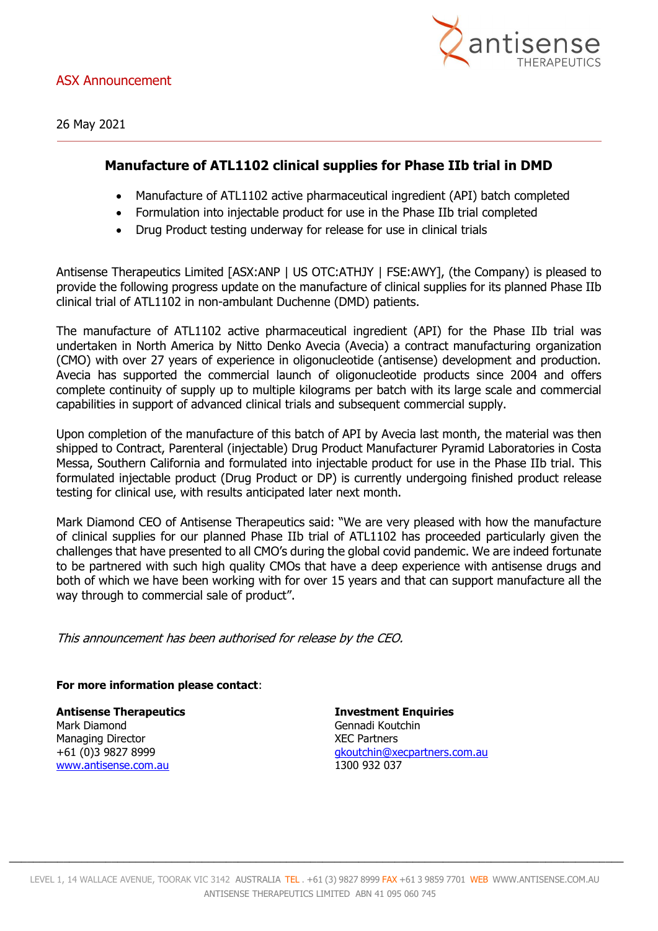

26 May 2021

## **Manufacture of ATL1102 clinical supplies for Phase IIb trial in DMD**

- Manufacture of ATL1102 active pharmaceutical ingredient (API) batch completed
- Formulation into injectable product for use in the Phase IIb trial completed
- Drug Product testing underway for release for use in clinical trials

Antisense Therapeutics Limited [ASX:ANP | US OTC:ATHJY | FSE:AWY], (the Company) is pleased to provide the following progress update on the manufacture of clinical supplies for its planned Phase IIb clinical trial of ATL1102 in non-ambulant Duchenne (DMD) patients.

The manufacture of ATL1102 active pharmaceutical ingredient (API) for the Phase IIb trial was undertaken in North America by Nitto Denko Avecia (Avecia) a contract manufacturing organization (CMO) with over 27 years of experience in oligonucleotide (antisense) development and production. Avecia has supported the commercial launch of oligonucleotide products since 2004 and offers complete continuity of supply up to multiple kilograms per batch with its large scale and commercial capabilities in support of advanced clinical trials and subsequent commercial supply.

Upon completion of the manufacture of this batch of API by Avecia last month, the material was then shipped to Contract, Parenteral (injectable) Drug Product Manufacturer Pyramid Laboratories in Costa Messa, Southern California and formulated into injectable product for use in the Phase IIb trial. This formulated injectable product (Drug Product or DP) is currently undergoing finished product release testing for clinical use, with results anticipated later next month.

Mark Diamond CEO of Antisense Therapeutics said: "We are very pleased with how the manufacture of clinical supplies for our planned Phase IIb trial of ATL1102 has proceeded particularly given the challenges that have presented to all CMO's during the global covid pandemic. We are indeed fortunate to be partnered with such high quality CMOs that have a deep experience with antisense drugs and both of which we have been working with for over 15 years and that can support manufacture all the way through to commercial sale of product".

This announcement has been authorised for release by the CEO.

## **For more information please contact**:

Mark Diamond Gennadi Koutchin Managing Director National Contract Contract Contract Contract XEC Partners [www.antisense.com.au](http://www.antisense.com.au/) 1300 932 037

**Antisense Therapeutics Investment Enquiries** +61 (0)3 9827 8999 [gkoutchin@xecpartners.com.au](mailto:gkoutchin@xecpartners.com.au)

 $\_$  , and the set of the set of the set of the set of the set of the set of the set of the set of the set of the set of the set of the set of the set of the set of the set of the set of the set of the set of the set of th